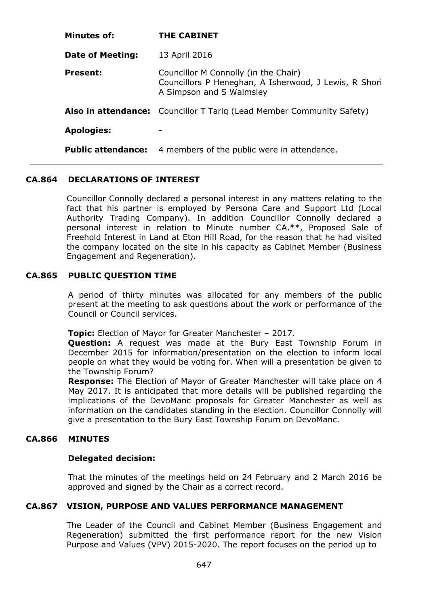| Minutes of:               | <b>THE CABINET</b>                                                                                                        |
|---------------------------|---------------------------------------------------------------------------------------------------------------------------|
| <b>Date of Meeting:</b>   | 13 April 2016                                                                                                             |
| <b>Present:</b>           | Councillor M Connolly (in the Chair)<br>Councillors P Heneghan, A Isherwood, J Lewis, R Shori<br>A Simpson and S Walmsley |
|                           | Also in attendance: Councillor T Tariq (Lead Member Community Safety)                                                     |
| <b>Apologies:</b>         |                                                                                                                           |
| <b>Public attendance:</b> | 4 members of the public were in attendance.                                                                               |

# **CA.864 DECLARATIONS OF INTEREST**

Councillor Connolly declared a personal interest in any matters relating to the fact that his partner is employed by Persona Care and Support Ltd (Local Authority Trading Company). In addition Councillor Connolly declared a personal interest in relation to Minute number CA.\*\*, Proposed Sale of Freehold Interest in Land at Eton Hill Road, for the reason that he had visited the company located on the site in his capacity as Cabinet Member (Business Engagement and Regeneration).

## **CA.865 PUBLIC QUESTION TIME**

A period of thirty minutes was allocated for any members of the public present at the meeting to ask questions about the work or performance of the Council or Council services.

**Topic:** Election of Mayor for Greater Manchester – 2017.

**Question:** A request was made at the Bury East Township Forum in December 2015 for information/presentation on the election to inform local people on what they would be voting for. When will a presentation be given to the Township Forum?

**Response:** The Election of Mayor of Greater Manchester will take place on 4 May 2017. It is anticipated that more details will be published regarding the implications of the DevoManc proposals for Greater Manchester as well as information on the candidates standing in the election. Councillor Connolly will give a presentation to the Bury East Township Forum on DevoManc.

# **CA.866 MINUTES**

### **Delegated decision:**

That the minutes of the meetings held on 24 February and 2 March 2016 be approved and signed by the Chair as a correct record.

### **CA.867 VISION, PURPOSE AND VALUES PERFORMANCE MANAGEMENT**

The Leader of the Council and Cabinet Member (Business Engagement and Regeneration) submitted the first performance report for the new Vision Purpose and Values (VPV) 2015-2020. The report focuses on the period up to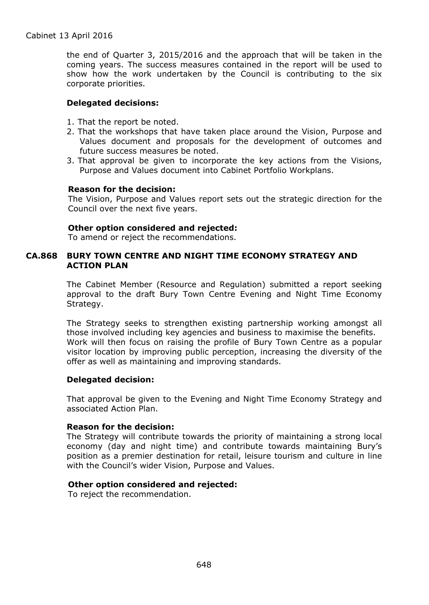the end of Quarter 3, 2015/2016 and the approach that will be taken in the coming years. The success measures contained in the report will be used to show how the work undertaken by the Council is contributing to the six corporate priorities.

## **Delegated decisions:**

- 1. That the report be noted.
- 2. That the workshops that have taken place around the Vision, Purpose and Values document and proposals for the development of outcomes and future success measures be noted.
- 3. That approval be given to incorporate the key actions from the Visions, Purpose and Values document into Cabinet Portfolio Workplans.

### **Reason for the decision:**

The Vision, Purpose and Values report sets out the strategic direction for the Council over the next five years.

## **Other option considered and rejected:**

To amend or reject the recommendations.

## **CA.868 BURY TOWN CENTRE AND NIGHT TIME ECONOMY STRATEGY AND ACTION PLAN**

The Cabinet Member (Resource and Regulation) submitted a report seeking approval to the draft Bury Town Centre Evening and Night Time Economy Strategy.

The Strategy seeks to strengthen existing partnership working amongst all those involved including key agencies and business to maximise the benefits. Work will then focus on raising the profile of Bury Town Centre as a popular visitor location by improving public perception, increasing the diversity of the offer as well as maintaining and improving standards.

### **Delegated decision:**

That approval be given to the Evening and Night Time Economy Strategy and associated Action Plan.

### **Reason for the decision:**

The Strategy will contribute towards the priority of maintaining a strong local economy (day and night time) and contribute towards maintaining Bury's position as a premier destination for retail, leisure tourism and culture in line with the Council's wider Vision, Purpose and Values.

# **Other option considered and rejected:**

To reject the recommendation.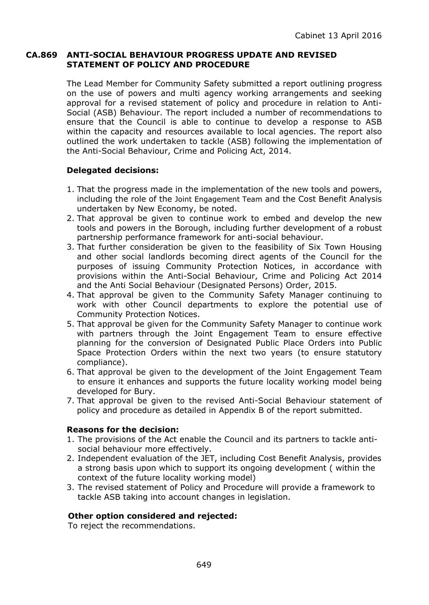## **CA.869 ANTI-SOCIAL BEHAVIOUR PROGRESS UPDATE AND REVISED STATEMENT OF POLICY AND PROCEDURE**

The Lead Member for Community Safety submitted a report outlining progress on the use of powers and multi agency working arrangements and seeking approval for a revised statement of policy and procedure in relation to Anti-Social (ASB) Behaviour. The report included a number of recommendations to ensure that the Council is able to continue to develop a response to ASB within the capacity and resources available to local agencies. The report also outlined the work undertaken to tackle (ASB) following the implementation of the Anti-Social Behaviour, Crime and Policing Act, 2014.

# **Delegated decisions:**

- 1. That the progress made in the implementation of the new tools and powers, including the role of the Joint Engagement Team and the Cost Benefit Analysis undertaken by New Economy, be noted.
- 2. That approval be given to continue work to embed and develop the new tools and powers in the Borough, including further development of a robust partnership performance framework for anti-social behaviour.
- 3. That further consideration be given to the feasibility of Six Town Housing and other social landlords becoming direct agents of the Council for the purposes of issuing Community Protection Notices, in accordance with provisions within the Anti-Social Behaviour, Crime and Policing Act 2014 and the Anti Social Behaviour (Designated Persons) Order, 2015.
- 4. That approval be given to the Community Safety Manager continuing to work with other Council departments to explore the potential use of Community Protection Notices.
- 5. That approval be given for the Community Safety Manager to continue work with partners through the Joint Engagement Team to ensure effective planning for the conversion of Designated Public Place Orders into Public Space Protection Orders within the next two years (to ensure statutory compliance).
- 6. That approval be given to the development of the Joint Engagement Team to ensure it enhances and supports the future locality working model being developed for Bury.
- 7. That approval be given to the revised Anti-Social Behaviour statement of policy and procedure as detailed in Appendix B of the report submitted.

# **Reasons for the decision:**

- 1. The provisions of the Act enable the Council and its partners to tackle antisocial behaviour more effectively.
- 2. Independent evaluation of the JET, including Cost Benefit Analysis, provides a strong basis upon which to support its ongoing development ( within the context of the future locality working model)
- 3. The revised statement of Policy and Procedure will provide a framework to tackle ASB taking into account changes in legislation.

# **Other option considered and rejected:**

To reject the recommendations.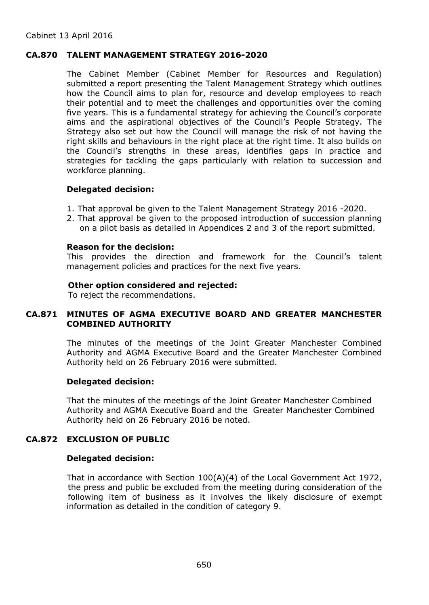### **CA.870 TALENT MANAGEMENT STRATEGY 2016-2020**

The Cabinet Member (Cabinet Member for Resources and Regulation) submitted a report presenting the Talent Management Strategy which outlines how the Council aims to plan for, resource and develop employees to reach their potential and to meet the challenges and opportunities over the coming five years. This is a fundamental strategy for achieving the Council's corporate aims and the aspirational objectives of the Council's People Strategy. The Strategy also set out how the Council will manage the risk of not having the right skills and behaviours in the right place at the right time. It also builds on the Council's strengths in these areas, identifies gaps in practice and strategies for tackling the gaps particularly with relation to succession and workforce planning.

## **Delegated decision:**

- 1. That approval be given to the Talent Management Strategy 2016 -2020.
- 2. That approval be given to the proposed introduction of succession planning on a pilot basis as detailed in Appendices 2 and 3 of the report submitted.

#### **Reason for the decision:**

This provides the direction and framework for the Council's talent management policies and practices for the next five years.

### **Other option considered and rejected:**

To reject the recommendations.

# **CA.871 MINUTES OF AGMA EXECUTIVE BOARD AND GREATER MANCHESTER COMBINED AUTHORITY**

The minutes of the meetings of the Joint Greater Manchester Combined Authority and AGMA Executive Board and the Greater Manchester Combined Authority held on 26 February 2016 were submitted.

#### **Delegated decision:**

That the minutes of the meetings of the Joint Greater Manchester Combined Authority and AGMA Executive Board and the Greater Manchester Combined Authority held on 26 February 2016 be noted.

# **CA.872 EXCLUSION OF PUBLIC**

### **Delegated decision:**

That in accordance with Section 100(A)(4) of the Local Government Act 1972, the press and public be excluded from the meeting during consideration of the following item of business as it involves the likely disclosure of exempt information as detailed in the condition of category 9.